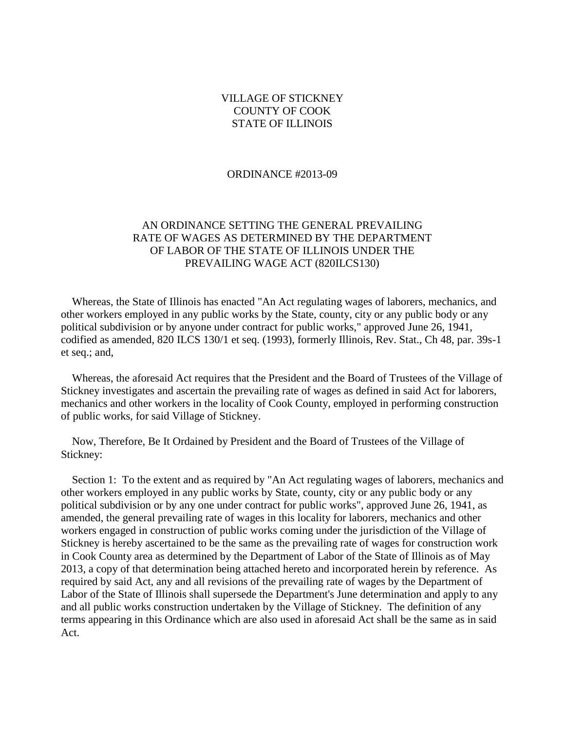## VILLAGE OF STICKNEY COUNTY OF COOK STATE OF ILLINOIS

#### ORDINANCE #2013-09

## AN ORDINANCE SETTING THE GENERAL PREVAILING RATE OF WAGES AS DETERMINED BY THE DEPARTMENT OF LABOR OF THE STATE OF ILLINOIS UNDER THE PREVAILING WAGE ACT (820ILCS130)

 Whereas, the State of Illinois has enacted "An Act regulating wages of laborers, mechanics, and other workers employed in any public works by the State, county, city or any public body or any political subdivision or by anyone under contract for public works," approved June 26, 1941, codified as amended, 820 ILCS 130/1 et seq. (1993), formerly Illinois, Rev. Stat., Ch 48, par. 39s-1 et seq.; and,

 Whereas, the aforesaid Act requires that the President and the Board of Trustees of the Village of Stickney investigates and ascertain the prevailing rate of wages as defined in said Act for laborers, mechanics and other workers in the locality of Cook County, employed in performing construction of public works, for said Village of Stickney.

 Now, Therefore, Be It Ordained by President and the Board of Trustees of the Village of Stickney:

 Section 1: To the extent and as required by "An Act regulating wages of laborers, mechanics and other workers employed in any public works by State, county, city or any public body or any political subdivision or by any one under contract for public works", approved June 26, 1941, as amended, the general prevailing rate of wages in this locality for laborers, mechanics and other workers engaged in construction of public works coming under the jurisdiction of the Village of Stickney is hereby ascertained to be the same as the prevailing rate of wages for construction work in Cook County area as determined by the Department of Labor of the State of Illinois as of May 2013, a copy of that determination being attached hereto and incorporated herein by reference. As required by said Act, any and all revisions of the prevailing rate of wages by the Department of Labor of the State of Illinois shall supersede the Department's June determination and apply to any and all public works construction undertaken by the Village of Stickney. The definition of any terms appearing in this Ordinance which are also used in aforesaid Act shall be the same as in said Act.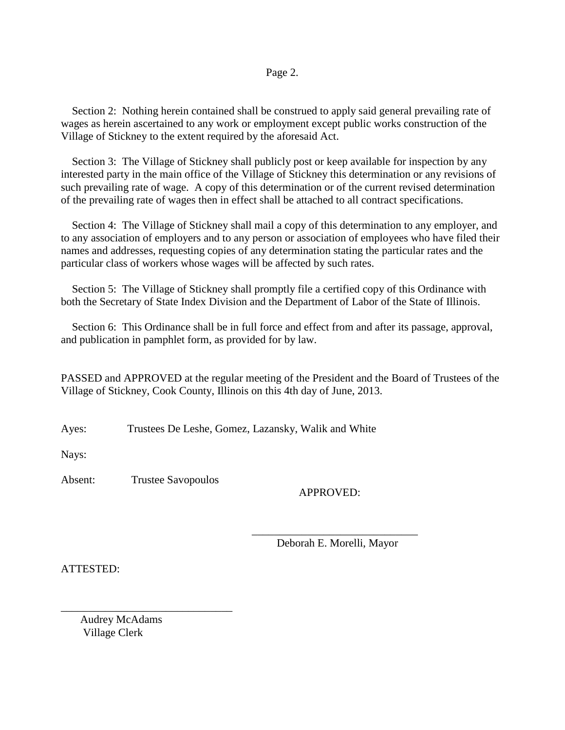### Page 2.

 Section 2: Nothing herein contained shall be construed to apply said general prevailing rate of wages as herein ascertained to any work or employment except public works construction of the Village of Stickney to the extent required by the aforesaid Act.

 Section 3: The Village of Stickney shall publicly post or keep available for inspection by any interested party in the main office of the Village of Stickney this determination or any revisions of such prevailing rate of wage. A copy of this determination or of the current revised determination of the prevailing rate of wages then in effect shall be attached to all contract specifications.

 Section 4: The Village of Stickney shall mail a copy of this determination to any employer, and to any association of employers and to any person or association of employees who have filed their names and addresses, requesting copies of any determination stating the particular rates and the particular class of workers whose wages will be affected by such rates.

Section 5: The Village of Stickney shall promptly file a certified copy of this Ordinance with both the Secretary of State Index Division and the Department of Labor of the State of Illinois.

 Section 6: This Ordinance shall be in full force and effect from and after its passage, approval, and publication in pamphlet form, as provided for by law.

PASSED and APPROVED at the regular meeting of the President and the Board of Trustees of the Village of Stickney, Cook County, Illinois on this 4th day of June, 2013.

Ayes: Trustees De Leshe, Gomez, Lazansky, Walik and White

 $\overline{\phantom{a}}$  , and the contract of the contract of the contract of the contract of the contract of the contract of the contract of the contract of the contract of the contract of the contract of the contract of the contrac

Nays:

Absent: Trustee Savopoulos

## APPROVED:

Deborah E. Morelli, Mayor

ATTESTED:

 Audrey McAdams Village Clerk

\_\_\_\_\_\_\_\_\_\_\_\_\_\_\_\_\_\_\_\_\_\_\_\_\_\_\_\_\_\_\_